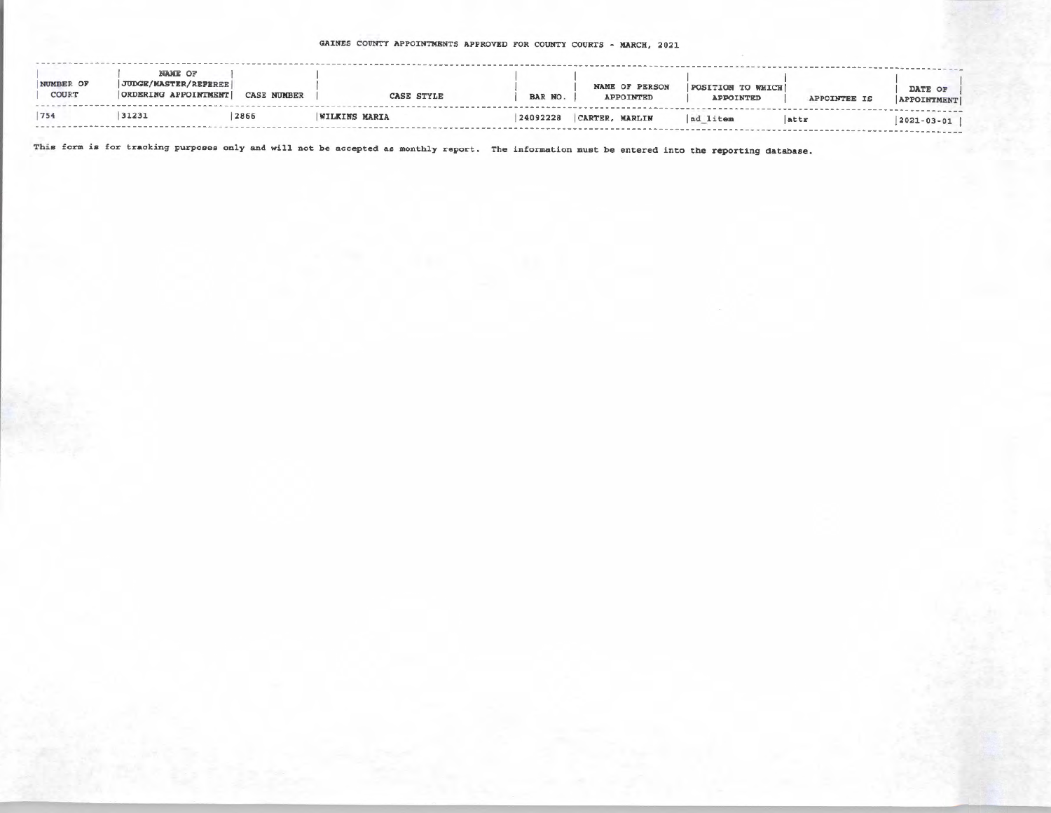## GAINES COUNTY APPOINTMENTS APPROVED FOR COUNTY COURTS - MARCH, 2021

| NUMBER OF<br>COURT | <b>NAME OF</b><br><b>JUDGE/MASTER/REFEREE</b><br>ORDERING APPOINTMENT | <b>CASE NUMBER</b> | <b>CASE STYLE</b>    | BAR NO.  | <b>NAME OF PERSON</b><br>APPOINTED | <b>POSITION TO WHICH!</b><br>APPOINTED | APPOINTEE IS | DATE OF<br><b>APPOINTMENT</b> |
|--------------------|-----------------------------------------------------------------------|--------------------|----------------------|----------|------------------------------------|----------------------------------------|--------------|-------------------------------|
| 754                | 31231                                                                 | 2866               | <b>WILKINS MARIA</b> | 24092228 | CARTER, MARLIN                     | ad litem                               | attr         | $2021 - 03 - 01$              |

This form is for tracking purposes only and will not be accepted as monthly report. The information must be entered into the reporting database.